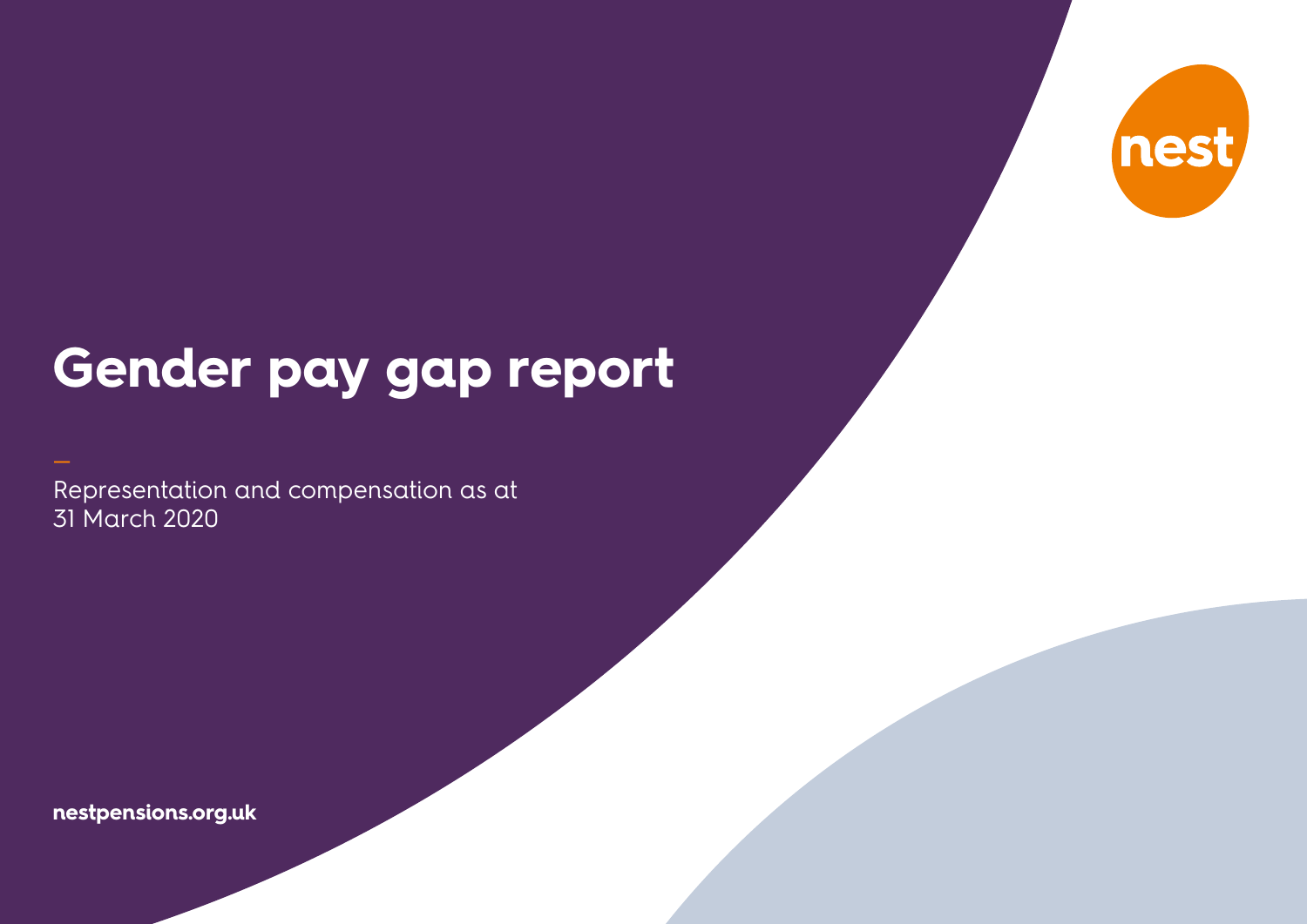

# **Gender pay gap report**

Representation and compensation as at 31 March 2020

**[nestpensions.org.uk](http://nestpensions.org.uk)**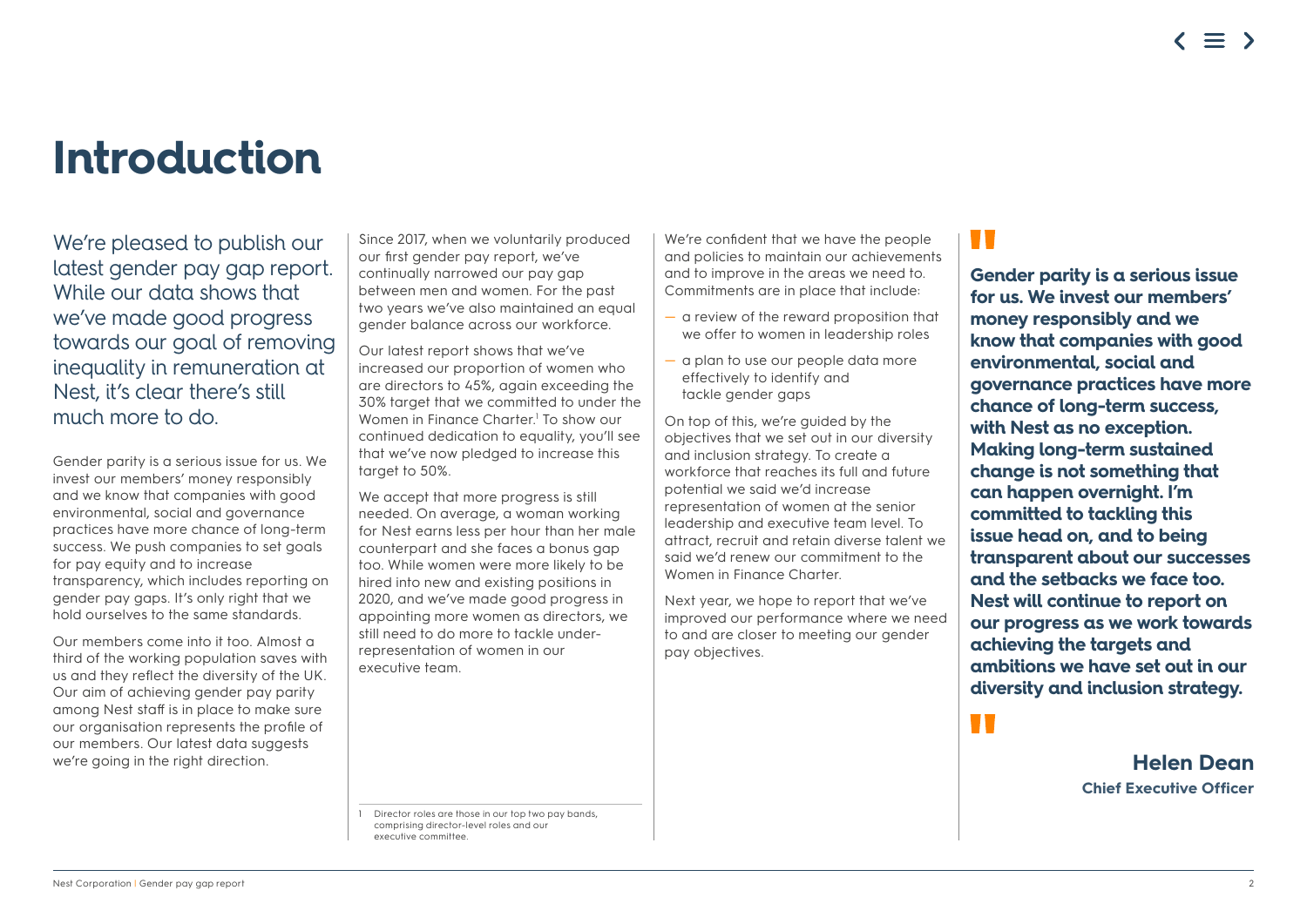### **Introduction**

We're pleased to publish our latest gender pay gap report. While our data shows that we've made good progress towards our goal of removing inequality in remuneration at Nest, it's clear there's still much more to do.

Gender parity is a serious issue for us. We invest our members' money responsibly and we know that companies with good environmental, social and governance practices have more chance of long-term success. We push companies to set goals for pay equity and to increase transparency, which includes reporting on gender pay gaps. It's only right that we hold ourselves to the same standards.

Our members come into it too. Almost a third of the working population saves with us and they reflect the diversity of the UK. Our aim of achieving gender pay parity among Nest staff is in place to make sure our organisation represents the profile of our members. Our latest data suggests we're going in the right direction.

Since 2017, when we voluntarily produced our first gender pay report, we've continually narrowed our pay gap between men and women. For the past two years we've also maintained an equal gender balance across our workforce.

Our latest report shows that we've increased our proportion of women who are directors to 45%, again exceeding the 30% target that we committed to under the Women in Finance Charter.<sup>1</sup> To show our continued dedication to equality, you'll see that we've now pledged to increase this target to 50%.

We accept that more progress is still needed. On average, a woman working for Nest earns less per hour than her male counterpart and she faces a bonus gap too. While women were more likely to be hired into new and existing positions in 2020, and we've made good progress in appointing more women as directors, we still need to do more to tackle underrepresentation of women in our executive team.

Director roles are those in our top two pay bands, comprising director-level roles and our executive committee.

We're confident that we have the people and policies to maintain our achievements and to improve in the areas we need to. Commitments are in place that include:

- a review of the reward proposition that we offer to women in leadership roles
- a plan to use our people data more effectively to identify and tackle gender gaps

On top of this, we're guided by the objectives that we set out in our diversity and inclusion strategy. To create a workforce that reaches its full and future potential we said we'd increase representation of women at the senior leadership and executive team level. To attract, recruit and retain diverse talent we said we'd renew our commitment to the Women in Finance Charter

Next year, we hope to report that we've improved our performance where we need to and are closer to meeting our gender pay objectives.

### U T

 $\blacksquare$ 

**Gender parity is a serious issue for us. We invest our members' money responsibly and we know that companies with good environmental, social and governance practices have more chance of long-term success, with Nest as no exception. Making long-term sustained change is not something that can happen overnight. I'm committed to tackling this issue head on, and to being transparent about our successes and the setbacks we face too. Nest will continue to report on our progress as we work towards achieving the targets and ambitions we have set out in our diversity and inclusion strategy.**

> **Helen Dean Chief Executive Officer**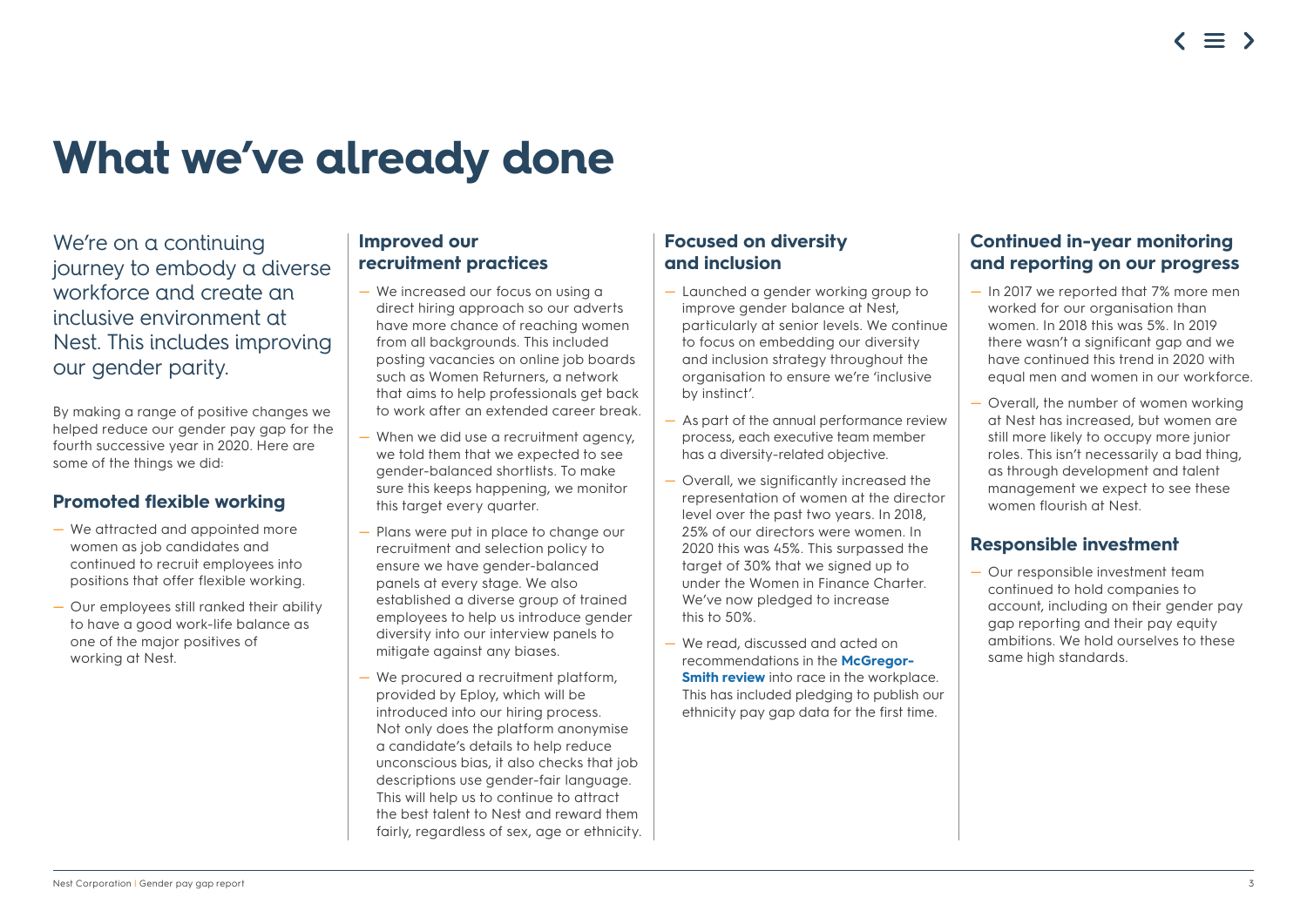## **What we've already done**

We're on a continuing journey to embody a diverse workforce and create an inclusive environment at Nest. This includes improving our gender parity.

By making a range of positive changes we helped reduce our gender pay gap for the fourth successive year in 2020. Here are some of the things we did:

#### **Promoted flexible working**

- We attracted and appointed more women as job candidates and continued to recruit employees into positions that offer flexible working.
- Our employees still ranked their ability to have a good work-life balance as one of the major positives of working at Nest.

#### **Improved our recruitment practices**

- We increased our focus on using a direct hiring approach so our adverts have more chance of reaching women from all backgrounds. This included posting vacancies on online job boards such as Women Returners, a network that aims to help professionals get back to work after an extended career break.
- When we did use a recruitment agency, we told them that we expected to see gender-balanced shortlists. To make sure this keeps happening, we monitor this target every quarter.
- Plans were put in place to change our recruitment and selection policy to ensure we have gender-balanced panels at every stage. We also established a diverse group of trained employees to help us introduce gender diversity into our interview panels to mitigate against any biases.
- We procured a recruitment platform, provided by Eploy, which will be introduced into our hiring process. Not only does the platform anonymise a candidate's details to help reduce unconscious bias, it also checks that job descriptions use gender-fair language. This will help us to continue to attract the best talent to Nest and reward them fairly, regardless of sex, age or ethnicity.

#### **Focused on diversity and inclusion**

- Launched a gender working group to improve gender balance at Nest, particularly at senior levels. We continue to focus on embedding our diversity and inclusion strategy throughout the organisation to ensure we're 'inclusive by instinct'.
- As part of the annual performance review process, each executive team member has a diversity-related objective.
- Overall, we significantly increased the representation of women at the director level over the past two years. In 2018, 25% of our directors were women. In 2020 this was 45%. This surpassed the target of 30% that we signed up to under the Women in Finance Charter. We've now pledged to increase this to 50%.
- We read, discussed and acted on recommendations in the **[McGregor-](https://www.gov.uk/government/publications/race-in-the-workplace-the-mcgregor-smith-review)[Smith review](https://www.gov.uk/government/publications/race-in-the-workplace-the-mcgregor-smith-review)** into race in the workplace. This has included pledging to publish our ethnicity pay gap data for the first time.

#### **Continued in-year monitoring and reporting on our progress**

- In 2017 we reported that 7% more men worked for our organisation than women. In 2018 this was 5%. In 2019 there wasn't a significant gap and we have continued this trend in 2020 with equal men and women in our workforce.
- Overall, the number of women working at Nest has increased, but women are still more likely to occupy more junior roles. This isn't necessarily a bad thing, as through development and talent management we expect to see these women flourish at Nest.

#### **Responsible investment**

— Our responsible investment team continued to hold companies to account, including on their gender pay gap reporting and their pay equity ambitions. We hold ourselves to these same high standards.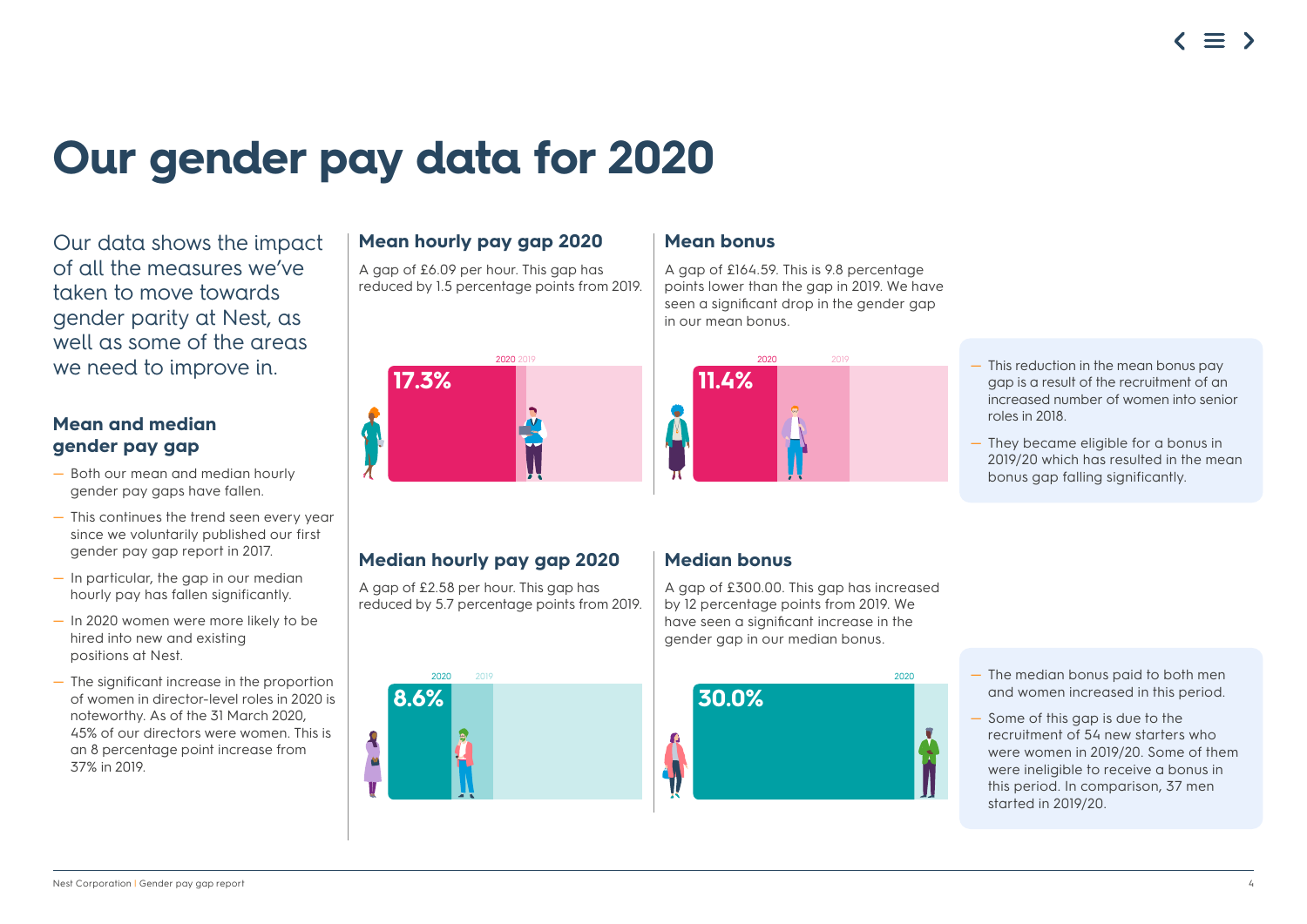## **Our gender pay data for 2020**

Our data shows the impact of all the measures we've taken to move towards gender parity at Nest, as well as some of the areas we need to improve in.

#### **Mean and median gender pay gap**

- Both our mean and median hourly gender pay gaps have fallen.
- This continues the trend seen every year since we voluntarily published our first gender pay gap report in 2017.
- In particular, the gap in our median hourly pay has fallen significantly.
- In 2020 women were more likely to be hired into new and existing positions at Nest.
- The significant increase in the proportion of women in director-level roles in 2020 is noteworthy. As of the 31 March 2020, 45% of our directors were women. This is an 8 percentage point increase from 37% in 2019.

#### **Mean hourly pay gap 2020**

A gap of £6.09 per hour. This gap has reduced by 1.5 percentage points from 2019.



#### **Median hourly pay gap 2020**

A gap of £2.58 per hour. This gap has reduced by 5.7 percentage points from 2019.



#### **Mean bonus**

A gap of £164.59. This is 9.8 percentage points lower than the gap in 2019. We have seen a significant drop in the gender gap in our mean bonus.



- This reduction in the mean bonus pay gap is a result of the recruitment of an increased number of women into senior roles in 2018.
- They became eligible for a bonus in 2019/20 which has resulted in the mean bonus gap falling significantly.

#### **Median bonus**

A gap of £300.00. This gap has increased by 12 percentage points from 2019. We have seen a significant increase in the gender gap in our median bonus.



- The median bonus paid to both men and women increased in this period.
- Some of this gap is due to the recruitment of 54 new starters who were women in 2019/20. Some of them were ineligible to receive a bonus in this period. In comparison, 37 men started in 2019/20.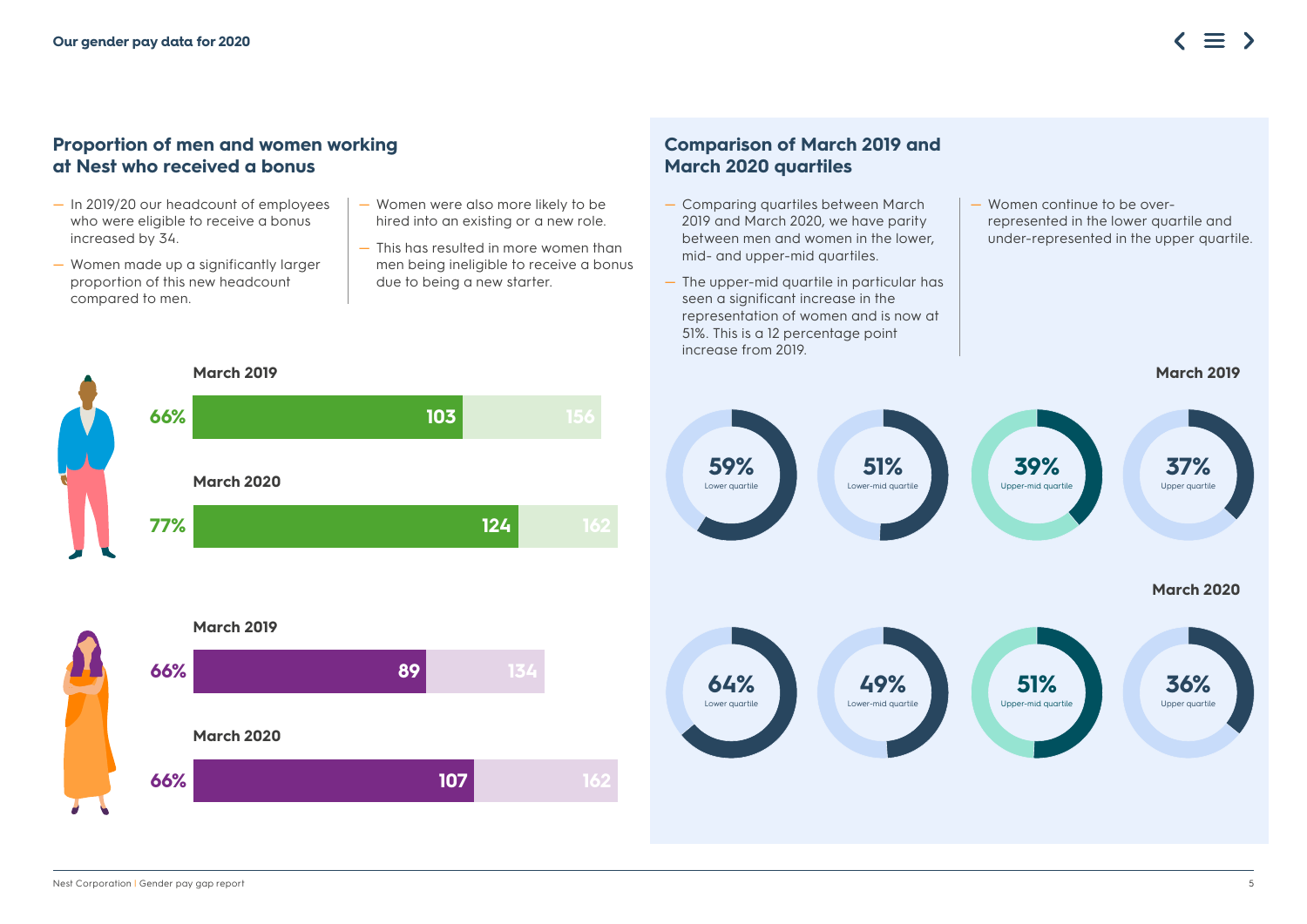#### **Proportion of men and women working at Nest who received a bonus**

- In 2019/20 our headcount of employees who were eligible to receive a bonus increased by 34.
- Women made up a significantly larger proportion of this new headcount compared to men.
- Women were also more likely to be hired into an existing or a new role.
- This has resulted in more women than men being ineligible to receive a bonus due to being a new starter.

#### **Comparison of March 2019 and March 2020 quartiles**

- Comparing quartiles between March 2019 and March 2020, we have parity between men and women in the lower, mid- and upper-mid quartiles.
- The upper-mid quartile in particular has seen a significant increase in the representation of women and is now at 51%. This is a 12 percentage point increase from 2019.
- Women continue to be overrepresented in the lower quartile and under-represented in the upper quartile.